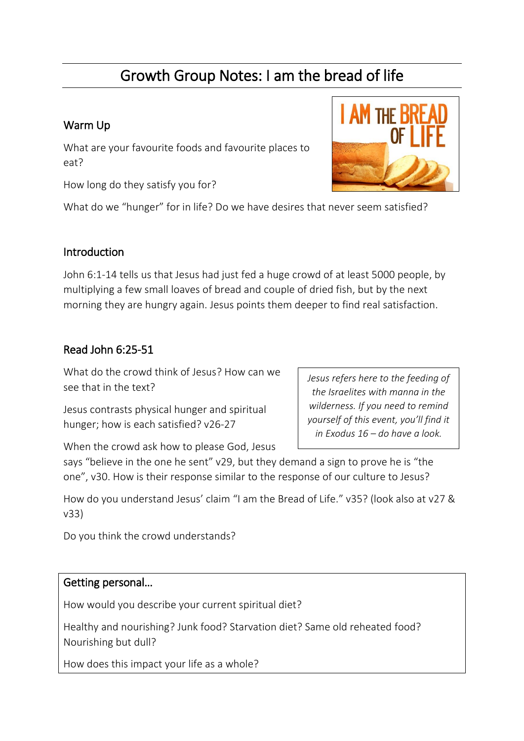# Growth Group Notes: I am the bread of life

## Warm Up

What are your favourite foods and favourite places to eat?

How long do they satisfy you for?

What do we "hunger" for in life? Do we have desires that never seem satisfied?

#### **Introduction**

John 6:1-14 tells us that Jesus had just fed a huge crowd of at least 5000 people, by multiplying a few small loaves of bread and couple of dried fish, but by the next morning they are hungry again. Jesus points them deeper to find real satisfaction.

#### Read John 6:25-51

What do the crowd think of Jesus? How can we see that in the text?

Jesus contrasts physical hunger and spiritual hunger; how is each satisfied? v26-27

*Jesus refers here to the feeding of the Israelites with manna in the wilderness. If you need to remind yourself of this event, you'll find it in Exodus 16 – do have a look.*

When the crowd ask how to please God, Jesus

says "believe in the one he sent" v29, but they demand a sign to prove he is "the one", v30. How is their response similar to the response of our culture to Jesus?

How do you understand Jesus' claim "I am the Bread of Life." v35? (look also at v27 & v33)

Do you think the crowd understands?

#### Getting personal…

How would you describe your current spiritual diet?

Healthy and nourishing? Junk food? Starvation diet? Same old reheated food? Nourishing but dull?

How does this impact your life as a whole?